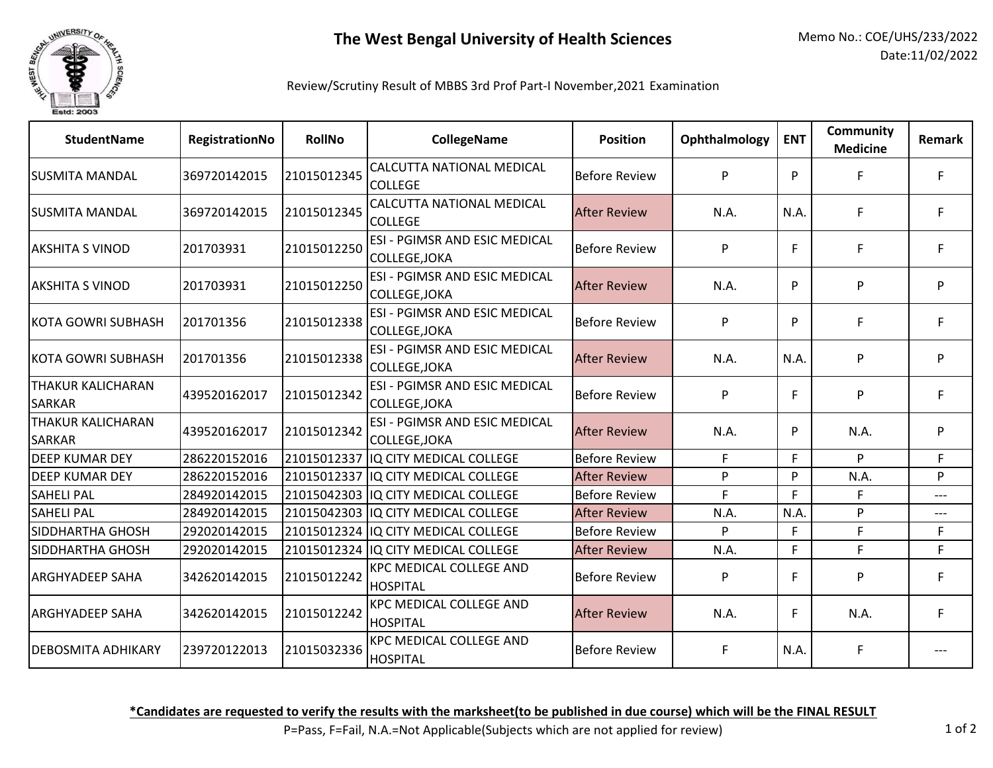

## Review/Scrutiny Result of MBBS 3rd Prof Part-I November,2021 Examination

| <b>StudentName</b>                 | RegistrationNo | <b>RollNo</b> | <b>CollegeName</b>                                    | <b>Position</b>      | Ophthalmology | <b>ENT</b> | <b>Community</b><br><b>Medicine</b> | Remark |
|------------------------------------|----------------|---------------|-------------------------------------------------------|----------------------|---------------|------------|-------------------------------------|--------|
| <b>SUSMITA MANDAL</b>              | 369720142015   | 21015012345   | CALCUTTA NATIONAL MEDICAL<br><b>COLLEGE</b>           | <b>Before Review</b> | P             | P          | F                                   | F      |
| <b>SUSMITA MANDAL</b>              | 369720142015   | 21015012345   | CALCUTTA NATIONAL MEDICAL<br><b>COLLEGE</b>           | <b>After Review</b>  | N.A.          | N.A.       | F.                                  | F      |
| <b>AKSHITA S VINOD</b>             | 201703931      | 21015012250   | <b>ESI - PGIMSR AND ESIC MEDICAL</b><br>COLLEGE, JOKA | <b>Before Review</b> | P             | F          | F.                                  |        |
| <b>AKSHITA S VINOD</b>             | 201703931      | 21015012250   | ESI - PGIMSR AND ESIC MEDICAL<br>COLLEGE, JOKA        | <b>After Review</b>  | N.A.          | P          | P                                   | P      |
| KOTA GOWRI SUBHASH                 | 201701356      | 21015012338   | ESI - PGIMSR AND ESIC MEDICAL<br>COLLEGE, JOKA        | <b>Before Review</b> | P             | P          | F.                                  | F      |
| KOTA GOWRI SUBHASH                 | 201701356      | 21015012338   | ESI - PGIMSR AND ESIC MEDICAL<br>COLLEGE, JOKA        | <b>After Review</b>  | N.A.          | N.A        | P                                   | P      |
| THAKUR KALICHARAN<br><b>SARKAR</b> | 439520162017   | 21015012342   | ESI - PGIMSR AND ESIC MEDICAL<br>COLLEGE, JOKA        | <b>Before Review</b> | P             | F          | P                                   | F      |
| THAKUR KALICHARAN<br><b>SARKAR</b> | 439520162017   | 21015012342   | ESI - PGIMSR AND ESIC MEDICAL<br>COLLEGE, JOKA        | <b>After Review</b>  | N.A.          | P          | N.A.                                | P      |
| <b>DEEP KUMAR DEY</b>              | 286220152016   | 21015012337   | IQ CITY MEDICAL COLLEGE                               | <b>Before Review</b> | F.            | F          | P                                   | F.     |
| <b>DEEP KUMAR DEY</b>              | 286220152016   | 21015012337   | IQ CITY MEDICAL COLLEGE                               | <b>After Review</b>  | P             | P          | N.A.                                | P      |
| <b>SAHELI PAL</b>                  | 284920142015   |               | 21015042303 IQ CITY MEDICAL COLLEGE                   | <b>Before Review</b> | E             | F          | F                                   | ---    |
| <b>SAHELI PAL</b>                  | 284920142015   |               | 21015042303 IQ CITY MEDICAL COLLEGE                   | <b>After Review</b>  | N.A.          | N.A        | P                                   | ---    |
| SIDDHARTHA GHOSH                   | 292020142015   |               | 21015012324 IQ CITY MEDICAL COLLEGE                   | <b>Before Review</b> | P             | F          | F.                                  | F.     |
| SIDDHARTHA GHOSH                   | 292020142015   |               | 21015012324 IQ CITY MEDICAL COLLEGE                   | <b>After Review</b>  | N.A.          | F          | F                                   | F.     |
| ARGHYADEEP SAHA                    | 342620142015   | 21015012242   | <b>KPC MEDICAL COLLEGE AND</b><br>HOSPITAL            | <b>Before Review</b> | P             | F          | P                                   | F      |
| <b>ARGHYADEEP SAHA</b>             | 342620142015   | 21015012242   | <b>KPC MEDICAL COLLEGE AND</b><br>HOSPITAL            | <b>After Review</b>  | N.A.          | F          | N.A.                                | F      |
| DEBOSMITA ADHIKARY                 | 239720122013   | 21015032336   | KPC MEDICAL COLLEGE AND<br><b>HOSPITAL</b>            | <b>Before Review</b> | F             | N.A.       | F                                   |        |

**\*Candidates are requested to verify the results with the marksheet(to be published in due course) which will be the FINAL RESULT**